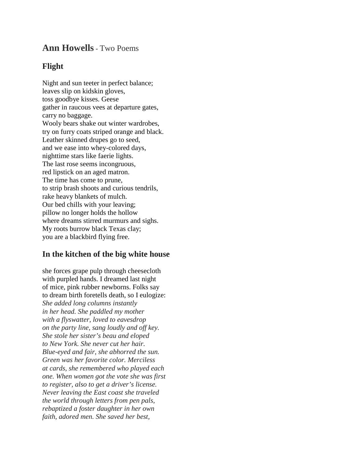## **Ann Howells-** Two Poems

## **Flight**

Night and sun teeter in perfect balance; leaves slip on kidskin gloves, toss goodbye kisses. Geese gather in raucous vees at departure gates, carry no baggage. Wooly bears shake out winter wardrobes, try on furry coats striped orange and black. Leather skinned drupes go to seed, and we ease into whey-colored days, nighttime stars like faerie lights. The last rose seems incongruous, red lipstick on an aged matron. The time has come to prune, to strip brash shoots and curious tendrils, rake heavy blankets of mulch. Our bed chills with your leaving; pillow no longer holds the hollow where dreams stirred murmurs and sighs. My roots burrow black Texas clay; you are a blackbird flying free.

## **In the kitchen of the big white house**

she forces grape pulp through cheesecloth with purpled hands. I dreamed last night of mice, pink rubber newborns. Folks say to dream birth foretells death, so I eulogize: *She added long columns instantly in her head. She paddled my mother with a flyswatter, loved to eavesdrop on the party line, sang loudly and off key. She stole her sister's beau and eloped to New York. She never cut her hair. Blue-eyed and fair, she abhorred the sun. Green was her favorite color. Merciless at cards, she remembered who played each one. When women got the vote she was first to register, also to get a driver's license. Never leaving the East coast she traveled the world through letters from pen pals, rebaptized a foster daughter in her own faith, adored men. She saved her best,*